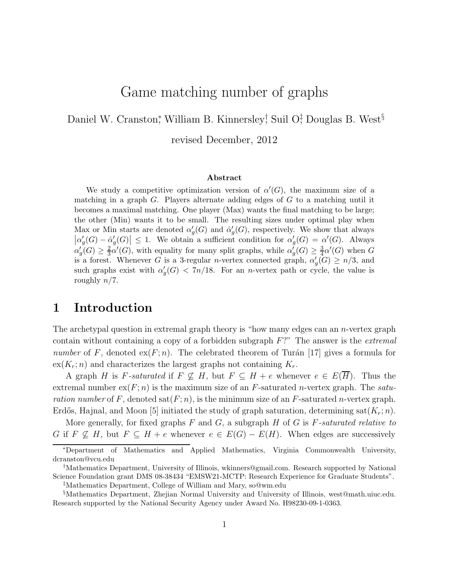# Game matching number of graphs

Daniel W. Cranston,<sup>\*</sup> William B. Kinnersley<sup>†</sup>, Suil O<sup>†</sup>, Douglas B. West<sup>§</sup>

revised December, 2012

#### Abstract

We study a competitive optimization version of  $\alpha'(G)$ , the maximum size of a matching in a graph  $G$ . Players alternate adding edges of  $G$  to a matching until it becomes a maximal matching. One player (Max) wants the final matching to be large; the other (Min) wants it to be small. The resulting sizes under optimal play when Max or Min starts are denoted  $\alpha'$  $'_{g}(G)$  and  $\hat{\alpha}'_{g}$  $g'_{g}(G)$ , respectively. We show that always  $\vert \alpha'_{\mathcal{G}}$  $\iota_g'(G) - \hat{\alpha}_g'$  $\left|\frac{g}{g}(G)\right| \leq 1$ . We obtain a sufficient condition for  $\alpha'_{g}$  $g'_{g}(G) = \alpha'(G)$ . Always  $\alpha'_{c}$  $\frac{1}{g}(G) \geq \frac{2}{3}$  $\frac{2}{3}\alpha'(G)$ , with equality for many split graphs, while  $\alpha'_{\mathcal{E}}$  $\frac{1}{g}(G) \geq \frac{3}{4}$  $\frac{3}{4}\alpha'(G)$  when G is a forest. Whenever G is a 3-regular n-vertex connected graph,  $\alpha'$  $g'(G) \geq n/3$ , and such graphs exist with  $\alpha'$  $g'_{g}(G)$  < 7n/18. For an *n*-vertex path or cycle, the value is roughly  $n/7$ .

#### 1 Introduction

The archetypal question in extremal graph theory is "how many edges can an n-vertex graph contain without containing a copy of a forbidden subgraph F?" The answer is the *extremal number* of F, denoted  $ex(F; n)$ . The celebrated theorem of Turán [17] gives a formula for  $ex(K_r; n)$  and characterizes the largest graphs not containing  $K_r$ .

A graph H is F-saturated if  $F \not\subset H$ , but  $F \subset H + e$  whenever  $e \in E(\overline{H})$ . Thus the extremal number  $ex(F; n)$  is the maximum size of an  $F$ -saturated *n*-vertex graph. The *saturation number* of F, denoted  $\text{sat}(F; n)$ , is the minimum size of an F-saturated n-vertex graph. Erdős, Hajnal, and Moon [5] initiated the study of graph saturation, determining sat $(K_r; n)$ .

More generally, for fixed graphs F and G, a subgraph H of G is F*-saturated relative to* G if  $F \nsubseteq H$ , but  $F \subseteq H + e$  whenever  $e \in E(G) - E(H)$ . When edges are successively

<sup>∗</sup>Department of Mathematics and Applied Mathematics, Virginia Commonwealth University, dcranston@vcu.edu

<sup>†</sup>Mathematics Department, University of Illinois, wkinners@gmail.com. Research supported by National Science Foundation grant DMS 08-38434 "EMSW21-MCTP: Research Experience for Graduate Students".

<sup>‡</sup>Mathematics Department, College of William and Mary, so@wm.edu

<sup>§</sup>Mathematics Department, Zhejian Normal University and University of Illinois, west@math.uiuc.edu. Research supported by the National Security Agency under Award No. H98230-09-1-0363.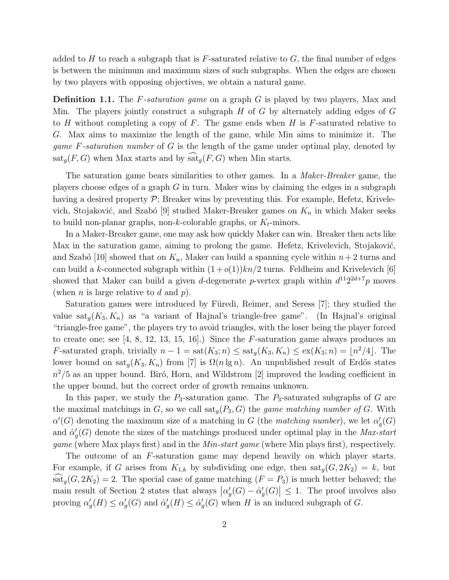added to H to reach a subgraph that is  $F$ -saturated relative to  $G$ , the final number of edges is between the minimum and maximum sizes of such subgraphs. When the edges are chosen by two players with opposing objectives, we obtain a natural game.

Definition 1.1. The F*-saturation game* on a graph G is played by two players, Max and Min. The players jointly construct a subgraph  $H$  of  $G$  by alternately adding edges of  $G$ to H without completing a copy of F. The game ends when H is  $F$ -saturated relative to G. Max aims to maximize the length of the game, while Min aims to minimize it. The *game* F*-saturation number* of G is the length of the game under optimal play, denoted by  $\text{sat}_q(F, G)$  when Max starts and by  $\text{sat}_q(F, G)$  when Min starts.

The saturation game bears similarities to other games. In a *Maker-Breaker* game, the players choose edges of a graph  $G$  in turn. Maker wins by claiming the edges in a subgraph having a desired property  $\mathcal{P}$ ; Breaker wins by preventing this. For example, Hefetz, Krivelevich, Stojaković, and Szabó [9] studied Maker-Breaker games on  $K_n$  in which Maker seeks to build non-planar graphs, non-k-colorable graphs, or  $K_t$ -minors.

In a Maker-Breaker game, one may ask how quickly Maker can win. Breaker then acts like Max in the saturation game, aiming to prolong the game. Hefetz, Krivelevich, Stojaković, and Szabó [10] showed that on  $K_n$ , Maker can build a spanning cycle within  $n+2$  turns and can build a k-connected subgraph within  $(1+o(1))kn/2$  turns. Feldheim and Krivelevich [6] showed that Maker can build a given d-degenerate p-vertex graph within  $d^{11}2^{2d+7}p$  moves (when *n* is large relative to *d* and *p*).

Saturation games were introduced by Füredi, Reimer, and Seress [7]; they studied the value sat<sub>q</sub> $(K_3, K_n)$  as "a variant of Hajnal's triangle-free game". (In Hajnal's original "triangle-free game", the players try to avoid triangles, with the loser being the player forced to create one; see  $[4, 8, 12, 13, 15, 16]$ .) Since the F-saturation game always produces an F-saturated graph, trivially  $n-1 = \text{sat}(K_3; n) \leq \text{sat}_g(K_3, K_n) \leq \text{ex}(K_3; n) = \lfloor n^2/4 \rfloor$ . The lower bound on sat<sub>q</sub>(K<sub>3</sub>, K<sub>n</sub>) from [7] is  $\Omega(n \lg n)$ . An unpublished result of Erdős states  $n^2/5$  as an upper bound. Biró, Horn, and Wildstrom [2] improved the leading coefficient in the upper bound, but the correct order of growth remains unknown.

In this paper, we study the  $P_3$ -saturation game. The  $P_3$ -saturated subgraphs of G are the maximal matchings in  $G$ , so we call  $\text{sat}_g(P_3, G)$  the *game matching number of*  $G$ . With  $\alpha'(G)$  denoting the maximum size of a matching in G (the *matching number*), we let  $\alpha'$  $'_g(G)$ and  $\hat{\alpha}'_c$ g (G) denote the sizes of the matchings produced under optimal play in the *Max-start game* (where Max plays first) and in the *Min-start game* (where Min plays first), respectively.

The outcome of an F-saturation game may depend heavily on which player starts. For example, if G arises from  $K_{1,k}$  by subdividing one edge, then  $\text{sat}_g(G, 2K_2) = k$ , but  $\text{sat}_q(G, 2K_2) = 2$ . The special case of game matching  $(F = P_3)$  is much better behaved; the main result of Section 2 states that always  $\left| \alpha'_{\xi} \right|$  $\iota_g'(G) - \hat{\alpha}_g'$  $\left| \mathcal{G}_{g}(G) \right| \leq 1$ . The proof involves also proving  $\alpha'$  $\alpha'_g(H) \leq \alpha'_g$  $'_{g}(G)$  and  $\hat{\alpha}'_{g}$  $G'_g(H) \leq \hat{\alpha}'_g$  $G<sub>g</sub>(G)$  when H is an induced subgraph of G.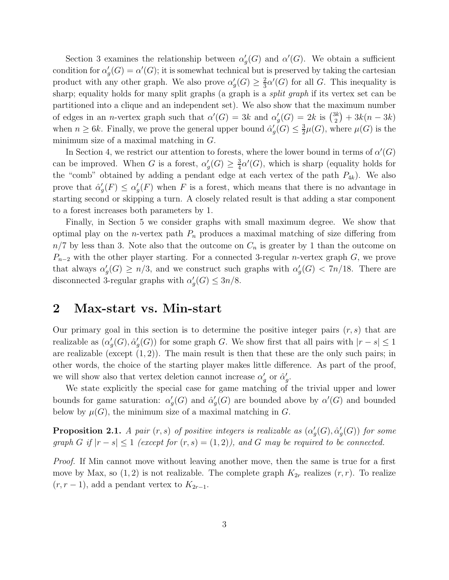Section 3 examines the relationship between  $\alpha'$  $g'(G)$  and  $\alpha'(G)$ . We obtain a sufficient condition for  $\alpha'$  $g'_{g}(G) = \alpha'(G)$ ; it is somewhat technical but is preserved by taking the cartesian product with any other graph. We also prove  $\alpha'$  $G'_g(G) \geq \frac{2}{3}$  $\frac{2}{3}\alpha'(G)$  for all G. This inequality is sharp; equality holds for many split graphs (a graph is a *split graph* if its vertex set can be partitioned into a clique and an independent set). We also show that the maximum number of edges in an *n*-vertex graph such that  $\alpha'(G) = 3k$  and  $\alpha'$  $g'_{g}(G) = 2k$  is  $\binom{3k}{2}$  $\binom{3k}{2} + 3k(n-3k)$ when  $n \geq 6k$ . Finally, we prove the general upper bound  $\hat{\alpha}'_c$  $G'_g(G) \leq \frac{3}{2}$  $\frac{3}{2}\mu(G)$ , where  $\mu(G)$  is the minimum size of a maximal matching in G.

In Section 4, we restrict our attention to forests, where the lower bound in terms of  $\alpha'(G)$ can be improved. When G is a forest,  $\alpha'$  $'_{g}(G) \geq \frac{3}{4}$  $\frac{3}{4}\alpha'(G)$ , which is sharp (equality holds for the "comb" obtained by adding a pendant edge at each vertex of the path  $P_{4k}$ ). We also prove that  $\hat{\alpha}'_c$  $g'(F) \leq \alpha'_g$  $g'(F)$  when F is a forest, which means that there is no advantage in starting second or skipping a turn. A closely related result is that adding a star component to a forest increases both parameters by 1.

Finally, in Section 5 we consider graphs with small maximum degree. We show that optimal play on the *n*-vertex path  $P_n$  produces a maximal matching of size differing from  $n/7$  by less than 3. Note also that the outcome on  $C_n$  is greater by 1 than the outcome on  $P_{n-2}$  with the other player starting. For a connected 3-regular *n*-vertex graph G, we prove that always  $\alpha'$  $g'(G) \geq n/3$ , and we construct such graphs with  $\alpha'_{g'}$  $g'_{g}(G) < 7n/18$ . There are disconnected 3-regular graphs with  $\alpha'$  $G_{g}(G) \leq 3n/8.$ 

#### 2 Max-start vs. Min-start

Our primary goal in this section is to determine the positive integer pairs  $(r, s)$  that are realizable as  $(\alpha'_c)$  $'_{g}(G), \hat{\alpha}'_{g}$  $g'(G)$  for some graph G. We show first that all pairs with  $|r - s| \leq 1$ are realizable (except  $(1, 2)$ ). The main result is then that these are the only such pairs; in other words, the choice of the starting player makes little difference. As part of the proof, we will show also that vertex deletion cannot increase  $\alpha'$  $'_{g}$  or  $\hat{\alpha}'_{g}$ ,<br>g•

We state explicitly the special case for game matching of the trivial upper and lower bounds for game saturation:  $\alpha'$  $G'_g(G)$  and  $\hat{\alpha}'_g$  $g'(G)$  are bounded above by  $\alpha'(G)$  and bounded below by  $\mu(G)$ , the minimum size of a maximal matching in G.

**Proposition 2.1.** *A pair*  $(r, s)$  *of positive integers is realizable as*  $(\alpha_s^{\prime})$  $'_{g}(G), \hat{\alpha}'_{g}$ g (G)) *for some graph* G if  $|r - s| \leq 1$  (except for  $(r, s) = (1, 2)$ ), and G may be required to be connected.

*Proof.* If Min cannot move without leaving another move, then the same is true for a first move by Max, so  $(1, 2)$  is not realizable. The complete graph  $K_{2r}$  realizes  $(r, r)$ . To realize  $(r, r - 1)$ , add a pendant vertex to  $K_{2r-1}$ .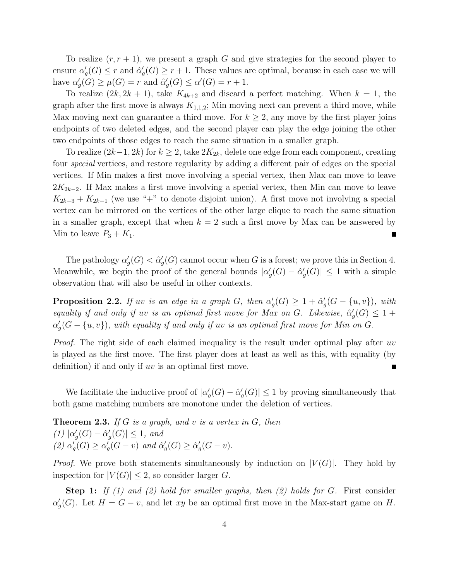To realize  $(r, r + 1)$ , we present a graph G and give strategies for the second player to ensure  $\alpha'_{\alpha}$  $g'_{g}(G) \leq r$  and  $\hat{\alpha}'_{g}$  $g'_{g}(G) \geq r+1$ . These values are optimal, because in each case we will have  $\alpha'$  $\mu'_g(G) \geq \mu(G) = r$  and  $\hat{\alpha}'_g$  $G'_g(G) \le \alpha'(G) = r + 1.$ 

To realize  $(2k, 2k+1)$ , take  $K_{4k+2}$  and discard a perfect matching. When  $k = 1$ , the graph after the first move is always  $K_{1,1,2}$ ; Min moving next can prevent a third move, while Max moving next can guarantee a third move. For  $k \geq 2$ , any move by the first player joins endpoints of two deleted edges, and the second player can play the edge joining the other two endpoints of those edges to reach the same situation in a smaller graph.

To realize  $(2k-1, 2k)$  for  $k \geq 2$ , take  $2K_{2k}$ , delete one edge from each component, creating four *special* vertices, and restore regularity by adding a different pair of edges on the special vertices. If Min makes a first move involving a special vertex, then Max can move to leave  $2K_{2k-2}$ . If Max makes a first move involving a special vertex, then Min can move to leave  $K_{2k-3} + K_{2k-1}$  (we use "+" to denote disjoint union). A first move not involving a special vertex can be mirrored on the vertices of the other large clique to reach the same situation in a smaller graph, except that when  $k = 2$  such a first move by Max can be answered by Min to leave  $P_3 + K_1$ . П

The pathology  $\alpha'$  $G'_g(G) < \hat{\alpha}'_g$  $g'_{g}(G)$  cannot occur when G is a forest; we prove this in Section 4. Meanwhile, we begin the proof of the general bounds  $\alpha'$  $G'_g(G) - \hat{\alpha}^{\prime}_g$  $g'(G)| \leq 1$  with a simple observation that will also be useful in other contexts.

**Proposition 2.2.** *If uv is an edge in a graph*  $G$ *, then*  $\alpha'$  $g'_g(G) \geq 1 + \hat{\alpha}_g'$  $\mathcal{G}_g^{\prime}(G - \{u, v\}), \ with$ *equality if and only if uv is an optimal first move for Max on G. Likewise,*  $\hat{\alpha}'$  $'_{g}(G) \leq 1 +$  $\alpha'_{c}$  $g_{g}'(G - \{u, v\})$ , with equality if and only if  $uv$  is an optimal first move for Min on  $G$ .

*Proof.* The right side of each claimed inequality is the result under optimal play after uv is played as the first move. The first player does at least as well as this, with equality (by definition) if and only if uv is an optimal first move.  $\blacksquare$ 

We facilitate the inductive proof of  $|\alpha\rangle$  $\iota_g'(G) - \hat{\alpha}_g'$  $g'_{g}(G)| \leq 1$  by proving simultaneously that both game matching numbers are monotone under the deletion of vertices.

Theorem 2.3. *If* G *is a graph, and* v *is a vertex in* G*, then*  $(1)$   $\alpha'$  $G'_g(G) - \hat{\alpha}'_g$  $g'(G)| \leq 1$ , and *(2)* α ′  $\mu_g^{\check\prime}(G)\geq \alpha_g^{\check\prime}$  $\sum_{g}^{r}(G-v)$  and  $\hat{\alpha}'_{g}$  $G'_g(G) \geq \hat{\alpha}'_g$  $G'_{g}(G-v).$ 

*Proof.* We prove both statements simultaneously by induction on  $|V(G)|$ . They hold by inspection for  $|V(G)| \leq 2$ , so consider larger G.

Step 1: *If (1) and (2) hold for smaller graphs, then (2) holds for* G*.* First consider  $\alpha'_{\epsilon}$  $g'_{g}(G)$ . Let  $H = G - v$ , and let xy be an optimal first move in the Max-start game on H.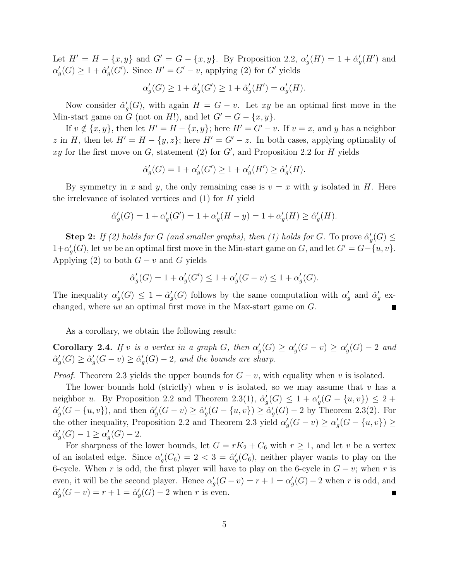Let  $H' = H - \{x, y\}$  and  $G' = G - \{x, y\}$ . By Proposition 2.2,  $\alpha'$  $g'_g(H) = 1 + \hat{\alpha}_g'$  $'_{g}(H')$  and  $\alpha'_{\epsilon}$  $G'_g(G) \geq 1 + \hat{\alpha}'_g$  $g'_{g}(G')$ . Since  $H' = G' - v$ , applying (2) for G' yields

$$
\alpha_g'(G) \ge 1 + \hat{\alpha}_g'(G') \ge 1 + \hat{\alpha}_g'(H') = \alpha_g'(H).
$$

Now consider  $\hat{\alpha}'_c$  $g'_{g}(G)$ , with again  $H = G - v$ . Let xy be an optimal first move in the Min-start game on G (not on H!), and let  $G' = G - \{x, y\}.$ 

If  $v \notin \{x, y\}$ , then let  $H' = H - \{x, y\}$ ; here  $H' = G' - v$ . If  $v = x$ , and y has a neighbor z in H, then let  $H' = H - \{y, z\}$ ; here  $H' = G' - z$ . In both cases, applying optimality of xy for the first move on  $G$ , statement (2) for  $G'$ , and Proposition 2.2 for  $H$  yields

$$
\hat{\alpha}_g'(G)=1+\alpha_g'(G')\geq 1+\alpha_g'(H')\geq \hat{\alpha}_g'(H).
$$

By symmetry in x and y, the only remaining case is  $v = x$  with y isolated in H. Here the irrelevance of isolated vertices and  $(1)$  for H yield

$$
\hat{\alpha}'_g(G) = 1 + \alpha'_g(G') = 1 + \alpha'_g(H - y) = 1 + \alpha'_g(H) \ge \hat{\alpha}'_g(H).
$$

**Step 2:** *If (2) holds for G (and smaller graphs), then (1) holds for G*. To prove  $\hat{\alpha}'_c$  $\mathcal{G}_g(G) \leq$  $1+\alpha'$  $g'_{g}(G)$ , let uv be an optimal first move in the Min-start game on G, and let  $G' = G - \{u, v\}.$ Applying (2) to both  $G - v$  and G yields

$$
\hat{\alpha}'_g(G) = 1 + \alpha'_g(G') \le 1 + \alpha'_g(G - v) \le 1 + \alpha'_g(G).
$$

The inequality  $\alpha'$  $G'_g(G) \leq 1 + \hat{\alpha}'_g$  $G_g(G)$  follows by the same computation with  $\alpha'_g$  $'_{g}$  and  $\hat{\alpha}'_{g}$  $_{g}^{\prime}$  exchanged, where uv an optimal first move in the Max-start game on  $G$ .

As a corollary, we obtain the following result:

Corollary 2.4. *If* v *is a vertex in a graph*  $G$ *, then*  $\alpha'$  $\alpha'_g(G) \geq \alpha'_g$  $\alpha'_g(G - v) \geq \alpha'_g$  $g'_{g}(G) - 2$  *and*  $\hat{\alpha}'_c$  $G'_g(G) \geq \hat{\alpha}'_g$  $\alpha'_g(G - v) \geq \hat{\alpha}'_g$  $g'_{g}(G) - 2$ , and the bounds are sharp.

*Proof.* Theorem 2.3 yields the upper bounds for  $G - v$ , with equality when v is isolated.

The lower bounds hold (strictly) when v is isolated, so we may assume that v has a neighbor u. By Proposition 2.2 and Theorem 2.3(1),  $\hat{\alpha}'_c$  $g'(G) \leq 1 + \alpha'_g$  $\mathcal{L}_g'(G - \{u, v\}) \leq 2 +$  $\hat{\alpha}'_c$  $g'_{g}(G - \{u, v\})$ , and then  $\hat{\alpha}'_{g}$  $G'_g(G - v) \geq \hat{\alpha}'_g$  $\alpha'_g(G - \{u, v\}) \geq \alpha'_g$  $g'_{g}(G) - 2$  by Theorem 2.3(2). For the other inequality, Proposition 2.2 and Theorem 2.3 yield  $\alpha'$  $\alpha'_g(G - v) \geq \alpha'_g$  $\mathcal{G}'_g(G - \{u, v\}) \ge$  $\hat{\alpha}'_{\epsilon}$  $\alpha'_g(G)-1\geq \alpha'_g$  $G'_{g}(G) - 2.$ 

For sharpness of the lower bounds, let  $G = rK_2 + C_6$  with  $r \geq 1$ , and let v be a vertex of an isolated edge. Since  $\alpha'$  $g'_g(C_6) = 2 < 3 = \hat{\alpha}'_g$  $g'(C_6)$ , neither player wants to play on the 6-cycle. When r is odd, the first player will have to play on the 6-cycle in  $G - v$ ; when r is even, it will be the second player. Hence  $\alpha'$  $g'_{g}(G - v) = r + 1 = \alpha'_{g}$  $g'_{g}(G) - 2$  when r is odd, and  $\hat{\alpha}'_c$  $g'_{g}(G - v) = r + 1 = \hat{\alpha}'_{g}$  $g'_{g}(G) - 2$  when r is even.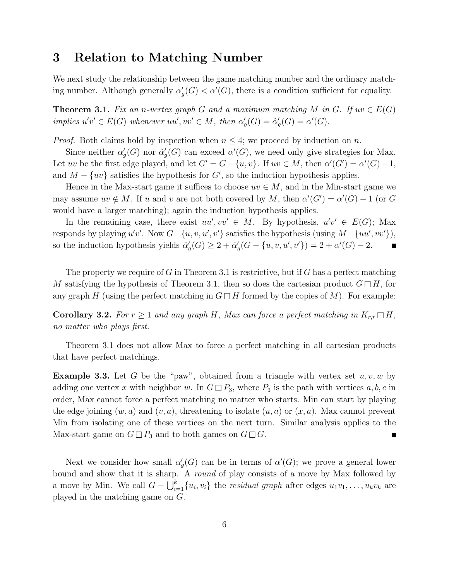#### 3 Relation to Matching Number

We next study the relationship between the game matching number and the ordinary matching number. Although generally  $\alpha'$  $g'_{g}(G) < \alpha'(G)$ , there is a condition sufficient for equality.

**Theorem 3.1.** *Fix an n-vertex graph* G and a maximum matching M in G. If  $uv \in E(G)$  $\text{implies } u'v' \in E(G) \text{ whenever } uu', vv' \in M, \text{ then } \alpha'$  $G'_g(G) = \hat{\alpha}'_g$  $G'_{g}(G) = \alpha'(G).$ 

*Proof.* Both claims hold by inspection when  $n \leq 4$ ; we proceed by induction on n.

Since neither  $\alpha'$  $G_g^{\prime}(G)$  nor  $\hat{\alpha}^{\prime}_g$  $g'_{g}(G)$  can exceed  $\alpha'(G)$ , we need only give strategies for Max. Let uv be the first edge played, and let  $G' = G - \{u, v\}$ . If  $uv \in M$ , then  $\alpha'(G') = \alpha'(G) - 1$ , and  $M - \{uv\}$  satisfies the hypothesis for  $G'$ , so the induction hypothesis applies.

Hence in the Max-start game it suffices to choose  $uv \in M$ , and in the Min-start game we may assume  $uv \notin M$ . If u and v are not both covered by M, then  $\alpha'(G') = \alpha'(G) - 1$  (or G would have a larger matching); again the induction hypothesis applies.

In the remaining case, there exist  $uu', vv' \in M$ . By hypothesis,  $u'v' \in E(G)$ ; Max responds by playing  $u'v'$ . Now  $G - \{u, v, u', v'\}$  satisfies the hypothesis (using  $M - \{uu', vv'\}$ ), so the induction hypothesis yields  $\hat{\alpha}'_c$  $G'_g(G) \geq 2 + \hat{\alpha}'_g$  $g'_{g}(G - \{u, v, u', v'\}) = 2 + \alpha'(G) - 2.$  $\blacksquare$ 

The property we require of  $G$  in Theorem 3.1 is restrictive, but if  $G$  has a perfect matching M satisfying the hypothesis of Theorem 3.1, then so does the cartesian product  $G \Box H$ , for any graph H (using the perfect matching in  $G \square H$  formed by the copies of M). For example:

**Corollary 3.2.** For  $r \geq 1$  and any graph H, Max can force a perfect matching in  $K_{r,r} \square H$ , *no matter who plays first.*

Theorem 3.1 does not allow Max to force a perfect matching in all cartesian products that have perfect matchings.

**Example 3.3.** Let G be the "paw", obtained from a triangle with vertex set  $u, v, w$  by adding one vertex x with neighbor w. In  $G \square P_3$ , where  $P_3$  is the path with vertices  $a, b, c$  in order, Max cannot force a perfect matching no matter who starts. Min can start by playing the edge joining  $(w, a)$  and  $(v, a)$ , threatening to isolate  $(u, a)$  or  $(x, a)$ . Max cannot prevent Min from isolating one of these vertices on the next turn. Similar analysis applies to the Max-start game on  $G \square P_3$  and to both games on  $G \square G$ .

Next we consider how small  $\alpha'$  $g'(G)$  can be in terms of  $\alpha'(G)$ ; we prove a general lower bound and show that it is sharp. A *round* of play consists of a move by Max followed by a move by Min. We call  $G - \bigcup_{i=1}^{k} \{u_i, v_i\}$  the *residual graph* after edges  $u_1v_1, \ldots, u_kv_k$  are played in the matching game on G.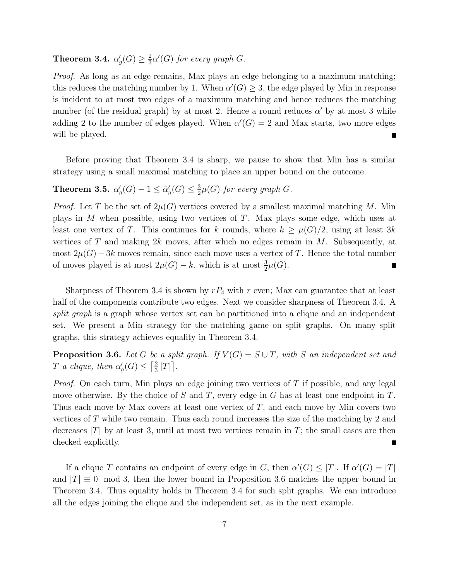Theorem 3.4.  $\alpha'$  $'_{g}(G) \geq \frac{2}{3}$  $\frac{2}{3}\alpha'(G)$  *for every graph G*.

*Proof.* As long as an edge remains, Max plays an edge belonging to a maximum matching; this reduces the matching number by 1. When  $\alpha'(G) \geq 3$ , the edge played by Min in response is incident to at most two edges of a maximum matching and hence reduces the matching number (of the residual graph) by at most 2. Hence a round reduces  $\alpha'$  by at most 3 while adding 2 to the number of edges played. When  $\alpha'(G) = 2$  and Max starts, two more edges will be played. ٠

Before proving that Theorem 3.4 is sharp, we pause to show that Min has a similar strategy using a small maximal matching to place an upper bound on the outcome.

#### Theorem 3.5.  $\alpha'$  $\alpha'_g(G)-1\leq \hat{\alpha}'_g$  $G'_g(G) \leq \frac{3}{2}$  $\frac{3}{2}\mu(G)$  for every graph G.

*Proof.* Let T be the set of  $2\mu(G)$  vertices covered by a smallest maximal matching M. Min plays in  $M$  when possible, using two vertices of  $T$ . Max plays some edge, which uses at least one vertex of T. This continues for k rounds, where  $k \geq \mu(G)/2$ , using at least 3k vertices of T and making  $2k$  moves, after which no edges remain in M. Subsequently, at most  $2\mu(G) - 3k$  moves remain, since each move uses a vertex of T. Hence the total number of moves played is at most  $2\mu(G) - k$ , which is at most  $\frac{3}{2}\mu(G)$ . П

Sharpness of Theorem 3.4 is shown by  $rP_4$  with r even; Max can guarantee that at least half of the components contribute two edges. Next we consider sharpness of Theorem 3.4. A *split graph* is a graph whose vertex set can be partitioned into a clique and an independent set. We present a Min strategy for the matching game on split graphs. On many split graphs, this strategy achieves equality in Theorem 3.4.

**Proposition 3.6.** Let G be a split graph. If  $V(G) = S \cup T$ , with S an independent set and T *a clique, then*  $\alpha'$  $\frac{1}{g}(G) \leq \left[\frac{2}{3}\right]$  $\frac{2}{3}$ |T||.

*Proof.* On each turn, Min plays an edge joining two vertices of T if possible, and any legal move otherwise. By the choice of S and T, every edge in G has at least one endpoint in  $T$ . Thus each move by Max covers at least one vertex of  $T$ , and each move by Min covers two vertices of T while two remain. Thus each round increases the size of the matching by 2 and decreases  $|T|$  by at least 3, until at most two vertices remain in T; the small cases are then checked explicitly.

If a clique T contains an endpoint of every edge in G, then  $\alpha'(G) \leq |T|$ . If  $\alpha'(G) = |T|$ and  $|T| \equiv 0 \mod 3$ , then the lower bound in Proposition 3.6 matches the upper bound in Theorem 3.4. Thus equality holds in Theorem 3.4 for such split graphs. We can introduce all the edges joining the clique and the independent set, as in the next example.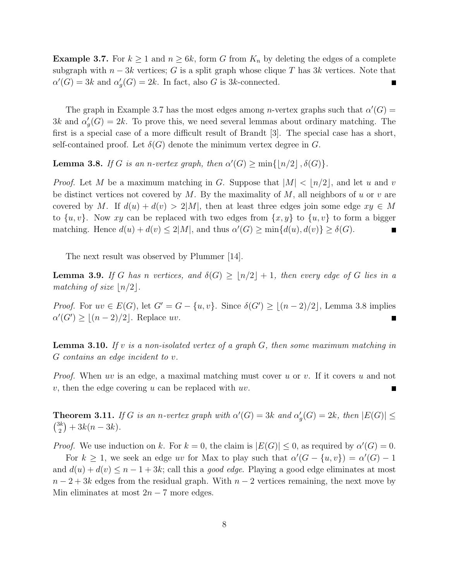**Example 3.7.** For  $k \ge 1$  and  $n \ge 6k$ , form G from  $K_n$  by deleting the edges of a complete subgraph with  $n-3k$  vertices; G is a split graph whose clique T has 3k vertices. Note that  $\alpha'(G) = 3k$  and  $\alpha'$  $g'_{g}(G) = 2k$ . In fact, also G is 3k-connected.

The graph in Example 3.7 has the most edges among *n*-vertex graphs such that  $\alpha'(G)$  $3k$  and  $\alpha'$  $g'_{g}(G) = 2k$ . To prove this, we need several lemmas about ordinary matching. The first is a special case of a more difficult result of Brandt [3]. The special case has a short, self-contained proof. Let  $\delta(G)$  denote the minimum vertex degree in G.

**Lemma 3.8.** *If* G *is an n-vertex graph, then*  $\alpha'(G) \ge \min\{|n/2|, \delta(G)\}.$ 

*Proof.* Let M be a maximum matching in G. Suppose that  $|M| < |n/2|$ , and let u and v be distinct vertices not covered by M. By the maximality of  $M$ , all neighbors of u or v are covered by M. If  $d(u) + d(v) > 2|M|$ , then at least three edges join some edge  $xy \in M$ to  $\{u, v\}$ . Now xy can be replaced with two edges from  $\{x, y\}$  to  $\{u, v\}$  to form a bigger matching. Hence  $d(u) + d(v) \leq 2|M|$ , and thus  $\alpha'(G) \geq \min\{d(u), d(v)\} \geq \delta(G)$ .

The next result was observed by Plummer [14].

**Lemma 3.9.** If G has n vertices, and  $\delta(G) \geq |n/2| + 1$ , then every edge of G lies in a *matching of size*  $\lfloor n/2 \rfloor$ *.* 

*Proof.* For  $uv \in E(G)$ , let  $G' = G - \{u, v\}$ . Since  $\delta(G') \geq \lfloor (n-2)/2 \rfloor$ , Lemma 3.8 implies  $\alpha'(G') \geq \lfloor (n-2)/2 \rfloor$ . Replace uv.

Lemma 3.10. *If* v *is a non-isolated vertex of a graph* G*, then some maximum matching in* G *contains an edge incident to* v*.*

*Proof.* When uv is an edge, a maximal matching must cover u or v. If it covers u and not v, then the edge covering u can be replaced with  $uv$ .

**Theorem 3.11.** *If* G *is an n-vertex graph with*  $\alpha'(G) = 3k$  *and*  $\alpha'$  $g'_{g}(G) = 2k$ , then  $|E(G)| \le$  $\binom{3k}{k}$  $\binom{3k}{2} + 3k(n-3k)$ .

*Proof.* We use induction on k. For  $k = 0$ , the claim is  $|E(G)| \leq 0$ , as required by  $\alpha'(G) = 0$ .

For  $k \geq 1$ , we seek an edge uv for Max to play such that  $\alpha'(G - \{u, v\}) = \alpha'(G) - 1$ and  $d(u) + d(v) \leq n - 1 + 3k$ ; call this a *good edge*. Playing a good edge eliminates at most  $n-2+3k$  edges from the residual graph. With  $n-2$  vertices remaining, the next move by Min eliminates at most  $2n - 7$  more edges.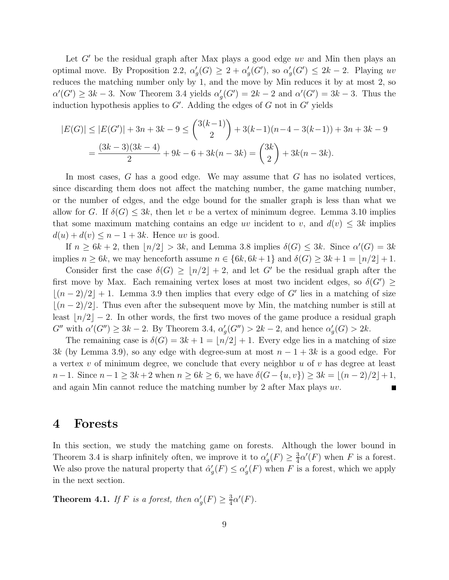Let  $G'$  be the residual graph after Max plays a good edge uv and Min then plays an optimal move. By Proposition 2.2,  $\alpha'$  $g'(G) \geq 2 + \alpha'_g$  $\iota_g'(G')$ , so  $\alpha'_g$  $g'_{g}(G') \leq 2k - 2$ . Playing uv reduces the matching number only by 1, and the move by Min reduces it by at most 2, so  $\alpha'(G') \geq 3k - 3$ . Now Theorem 3.4 yields  $\alpha'$  $g'(G') = 2k - 2$  and  $\alpha'(G') = 3k - 3$ . Thus the induction hypothesis applies to  $G'$ . Adding the edges of G not in  $G'$  yields

$$
|E(G)| \le |E(G')| + 3n + 3k - 9 \le {3(k-1) \choose 2} + 3(k-1)(n-4 - 3(k-1)) + 3n + 3k - 9
$$
  
= 
$$
\frac{(3k-3)(3k-4)}{2} + 9k - 6 + 3k(n-3k) = {3k \choose 2} + 3k(n-3k).
$$

In most cases,  $G$  has a good edge. We may assume that  $G$  has no isolated vertices, since discarding them does not affect the matching number, the game matching number, or the number of edges, and the edge bound for the smaller graph is less than what we allow for G. If  $\delta(G) \leq 3k$ , then let v be a vertex of minimum degree. Lemma 3.10 implies that some maximum matching contains an edge uv incident to v, and  $d(v) \leq 3k$  implies  $d(u) + d(v) \leq n - 1 + 3k$ . Hence uv is good.

If  $n \geq 6k + 2$ , then  $\lfloor n/2 \rfloor > 3k$ , and Lemma 3.8 implies  $\delta(G) \leq 3k$ . Since  $\alpha'(G) = 3k$ implies  $n \geq 6k$ , we may henceforth assume  $n \in \{6k, 6k+1\}$  and  $\delta(G) \geq 3k+1 = \lfloor n/2 \rfloor + 1$ .

Consider first the case  $\delta(G) > |n/2| + 2$ , and let G' be the residual graph after the first move by Max. Each remaining vertex loses at most two incident edges, so  $\delta(G') \geq$  $\lfloor (n-2)/2 \rfloor + 1$ . Lemma 3.9 then implies that every edge of G' lies in a matching of size  $|(n-2)/2|$ . Thus even after the subsequent move by Min, the matching number is still at least  $\lfloor n/2 \rfloor - 2$ . In other words, the first two moves of the game produce a residual graph  $G''$  with  $\alpha'(G'') \geq 3k - 2$ . By Theorem 3.4,  $\alpha'$  $g'_{g}(G'') > 2k - 2$ , and hence  $\alpha'_{g}$  $G'_{g}(G) > 2k.$ 

The remaining case is  $\delta(G) = 3k + 1 = |n/2| + 1$ . Every edge lies in a matching of size 3k (by Lemma 3.9), so any edge with degree-sum at most  $n-1+3k$  is a good edge. For a vertex  $v$  of minimum degree, we conclude that every neighbor  $u$  of  $v$  has degree at least  $n-1$ . Since  $n-1 \geq 3k+2$  when  $n \geq 6k \geq 6$ , we have  $\delta(G-\{u,v\}) \geq 3k = |(n-2)/2|+1$ , and again Min cannot reduce the matching number by 2 after Max plays uv.

#### 4 Forests

In this section, we study the matching game on forests. Although the lower bound in Theorem 3.4 is sharp infinitely often, we improve it to  $\alpha'$  $'_{g}(F) \geq \frac{3}{4}$  $\frac{3}{4}\alpha'(F)$  when F is a forest. We also prove the natural property that  $\hat{\alpha}'_c$  $\alpha'_g(F) \leq \alpha'_g$  $g'(F)$  when F is a forest, which we apply in the next section.

**Theorem 4.1.** *If* F *is a forest, then*  $\alpha'$  $'_{g}(F) \geq \frac{3}{4}$  $\frac{3}{4}\alpha'(F)$ .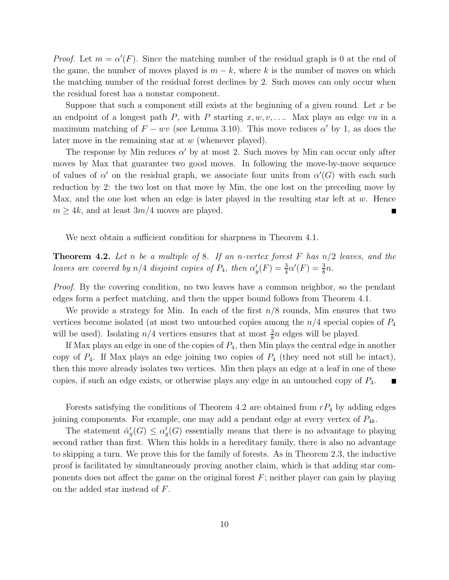*Proof.* Let  $m = \alpha'(F)$ . Since the matching number of the residual graph is 0 at the end of the game, the number of moves played is  $m - k$ , where k is the number of moves on which the matching number of the residual forest declines by 2. Such moves can only occur when the residual forest has a nonstar component.

Suppose that such a component still exists at the beginning of a given round. Let  $x$  be an endpoint of a longest path P, with P starting  $x, w, v, \ldots$  Max plays an edge vu in a maximum matching of  $F - wv$  (see Lemma 3.10). This move reduces  $\alpha'$  by 1, as does the later move in the remaining star at  $w$  (whenever played).

The response by Min reduces  $\alpha'$  by at most 2. Such moves by Min can occur only after moves by Max that guarantee two good moves. In following the move-by-move sequence of values of  $\alpha'$  on the residual graph, we associate four units from  $\alpha'(G)$  with each such reduction by 2: the two lost on that move by Min, the one lost on the preceding move by Max, and the one lost when an edge is later played in the resulting star left at  $w$ . Hence  $m \geq 4k$ , and at least  $3m/4$  moves are played.

We next obtain a sufficient condition for sharpness in Theorem 4.1.

Theorem 4.2. *Let* n *be a multiple of* 8*. If an* n*-vertex forest* F *has* n/2 *leaves, and the leaves are covered by*  $n/4$  *disjoint copies of*  $P_4$ *, then*  $\alpha'$  $G'_{g}(F) = \frac{3}{4}\alpha'(F) = \frac{3}{8}n.$ 

*Proof.* By the covering condition, no two leaves have a common neighbor, so the pendant edges form a perfect matching, and then the upper bound follows from Theorem 4.1.

We provide a strategy for Min. In each of the first  $n/8$  rounds, Min ensures that two vertices become isolated (at most two untouched copies among the  $n/4$  special copies of  $P_4$ will be used). Isolating  $n/4$  vertices ensures that at most  $\frac{3}{8}n$  edges will be played.

If Max plays an edge in one of the copies of  $P_4$ , then Min plays the central edge in another copy of  $P_4$ . If Max plays an edge joining two copies of  $P_4$  (they need not still be intact), then this move already isolates two vertices. Min then plays an edge at a leaf in one of these copies, if such an edge exists, or otherwise plays any edge in an untouched copy of P4.

Forests satisfying the conditions of Theorem 4.2 are obtained from  $rP_4$  by adding edges joining components. For example, one may add a pendant edge at every vertex of  $P_{4k}$ .

The statement  $\hat{\alpha}'_c$  $\alpha'_g(G) \leq \alpha'_g$  $g'_{g}(G)$  essentially means that there is no advantage to playing second rather than first. When this holds in a hereditary family, there is also no advantage to skipping a turn. We prove this for the family of forests. As in Theorem 2.3, the inductive proof is facilitated by simultaneously proving another claim, which is that adding star components does not affect the game on the original forest  $F$ ; neither player can gain by playing on the added star instead of F.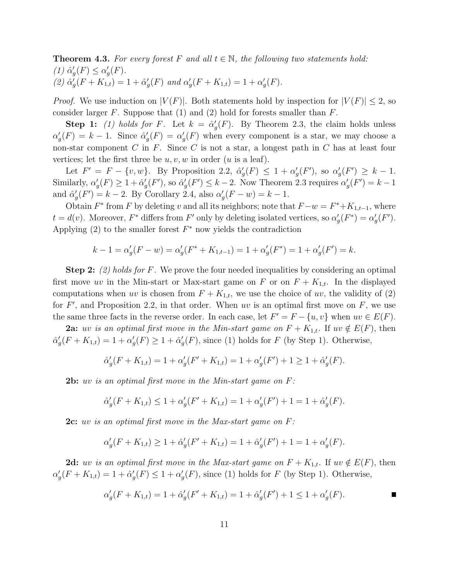**Theorem 4.3.** For every forest F and all  $t \in \mathbb{N}$ , the following two statements hold:  $(1)$   $\hat{\alpha}'_c$  $g'(F) \leq \alpha'_g$  $'_{g}(F).$  $(2)$   $\hat{\alpha}'_c$  $g'_{g}(F+K_{1,t})=1+\hat{\alpha}'_{g}$  $'_{g}(F)$  and  $\alpha'_{g}$  $g'(F+K_{1,t})=1+\alpha'_{s}$  $'_{g}(F).$ 

*Proof.* We use induction on  $|V(F)|$ . Both statements hold by inspection for  $|V(F)| \leq 2$ , so consider larger F. Suppose that  $(1)$  and  $(2)$  hold for forests smaller than F.

Step 1: (1) holds for F. Let  $k = \hat{\alpha}'_c$  $g'(F)$ . By Theorem 2.3, the claim holds unless  $\alpha'_{\epsilon}$  $g'(F) = k - 1$ . Since  $\hat{\alpha}'_g$  $g'(F) = \alpha'_g$  $g'(F)$  when every component is a star, we may choose a non-star component  $C$  in  $F$ . Since  $C$  is not a star, a longest path in  $C$  has at least four vertices; let the first three be  $u, v, w$  in order  $(u$  is a leaf).

Let  $F' = F - \{v, w\}$ . By Proposition 2.2,  $\hat{\alpha}'_c$  $g'(F) \leq 1 + \alpha'_g$  $'_{g}(F')$ , so  $\alpha'_{g}$  $'_{g}(F') \geq k - 1.$ Similarly,  $\alpha'$  $g'(F) \geq 1 + \hat{\alpha}_g'$  $'_{g}(F')$ , so  $\hat{\alpha}'_{g}$  $g'(F') \leq k-2$ . Now Theorem 2.3 requires  $\alpha'_g$  $'_{g}(F') = k - 1$ and  $\hat{\alpha}'_c$  $g'(F') = k - 2$ . By Corollary 2.4, also  $\alpha'_{g'}$  $g'(F - w) = k - 1.$ 

Obtain  $F^*$  from F by deleting v and all its neighbors; note that  $F - w = F^* + K_{1,t-1}$ , where  $t = d(v)$ . Moreover,  $F^*$  differs from  $F'$  only by deleting isolated vertices, so  $\alpha'$  $g'(F^*) = \alpha'_g$  $'_{g}(F')$ . Applying  $(2)$  to the smaller forest  $F^*$  now yields the contradiction

$$
k - 1 = \alpha_g'(F - w) = \alpha_g'(F^* + K_{1,t-1}) = 1 + \alpha_g'(F^*) = 1 + \alpha_g'(F') = k.
$$

Step 2: *(2) holds for* F*.* We prove the four needed inequalities by considering an optimal first move uv in the Min-start or Max-start game on F or on  $F + K_{1,t}$ . In the displayed computations when uv is chosen from  $F + K_{1,t}$ , we use the choice of uv, the validity of (2) for  $F'$ , and Proposition 2.2, in that order. When uv is an optimal first move on  $F$ , we use the same three facts in the reverse order. In each case, let  $F' = F - \{u, v\}$  when  $uv \in E(F)$ .

**2a:** uv is an optimal first move in the Min-start game on  $F + K_{1,t}$ . If  $uv \notin E(F)$ , then  $\hat{\alpha}'_c$  $G'_g(F+K_{1,t})=1+\alpha'_g$  $g'(F) \geq 1 + \hat{\alpha}_g'$  $g'(F)$ , since (1) holds for F (by Step 1). Otherwise,

$$
\hat{\alpha}'_g(F + K_{1,t}) = 1 + \alpha'_g(F' + K_{1,t}) = 1 + \alpha'_g(F') + 1 \ge 1 + \hat{\alpha}'_g(F).
$$

2b: uv *is an optimal first move in the Min-start game on* F*:*

$$
\hat{\alpha}'_g(F + K_{1,t}) \le 1 + \alpha'_g(F' + K_{1,t}) = 1 + \alpha'_g(F') + 1 = 1 + \hat{\alpha}'_g(F).
$$

2c: uv *is an optimal first move in the Max-start game on* F*:*

$$
\alpha'_g(F + K_{1,t}) \ge 1 + \hat{\alpha}'_g(F' + K_{1,t}) = 1 + \hat{\alpha}'_g(F') + 1 = 1 + \alpha'_g(F).
$$

2d: uv is an optimal first move in the Max-start game on  $F + K_{1,t}$ . If uv  $\notin E(F)$ , then  $\alpha'_{\epsilon}$  $g'(F+K_{1,t})=1+\hat{\alpha}_g'$  $g'(F) \leq 1 + \alpha'_g$  $g'(F)$ , since (1) holds for F (by Step 1). Otherwise,

$$
\alpha'_g(F + K_{1,t}) = 1 + \hat{\alpha}'_g(F' + K_{1,t}) = 1 + \hat{\alpha}'_g(F') + 1 \le 1 + \alpha'_g(F).
$$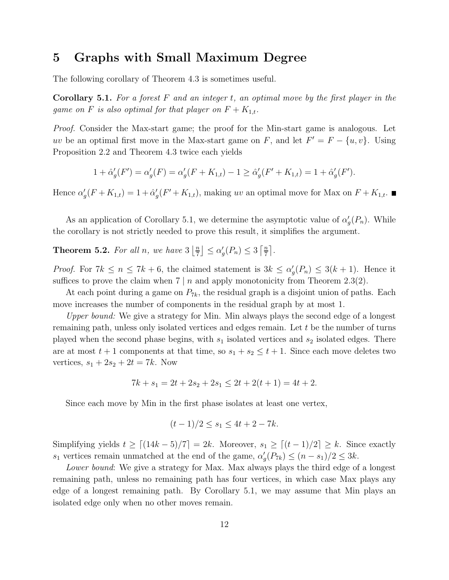### 5 Graphs with Small Maximum Degree

The following corollary of Theorem 4.3 is sometimes useful.

Corollary 5.1. *For a forest* F *and an integer* t*, an optimal move by the first player in the game on* F *is also optimal for that player on*  $F + K_{1,t}$ .

*Proof.* Consider the Max-start game; the proof for the Min-start game is analogous. Let uv be an optimal first move in the Max-start game on F, and let  $F' = F - \{u, v\}$ . Using Proposition 2.2 and Theorem 4.3 twice each yields

$$
1 + \hat{\alpha}'_g(F') = \alpha'_g(F) = \alpha'_g(F + K_{1,t}) - 1 \ge \hat{\alpha}'_g(F' + K_{1,t}) = 1 + \hat{\alpha}'_g(F').
$$

Hence  $\alpha'$  $g'(F+K_{1,t})=1+\hat{\alpha}_g'$  $g'(F' + K_{1,t})$ , making uv an optimal move for Max on  $F + K_{1,t}$ .

As an application of Corollary 5.1, we determine the asymptotic value of  $\alpha'$  $G_{g}(P_n)$ . While the corollary is not strictly needed to prove this result, it simplifies the argument.

**Theorem 5.2.** For all n, we have  $3\left|\frac{n}{7}\right|$  $\frac{n}{7}$   $\leq \alpha'_{g}$  $\binom{n}{g}(P_n) \leq 3 \left\lceil \frac{n}{7} \right\rceil$  $\frac{n}{7}$ .

*Proof.* For  $7k \leq n \leq 7k + 6$ , the claimed statement is  $3k \leq \alpha'$  $g'(P_n) \leq 3(k+1)$ . Hence it suffices to prove the claim when  $7 | n$  and apply monotonicity from Theorem 2.3(2).

At each point during a game on  $P_{7k}$ , the residual graph is a disjoint union of paths. Each move increases the number of components in the residual graph by at most 1.

*Upper bound:* We give a strategy for Min. Min always plays the second edge of a longest remaining path, unless only isolated vertices and edges remain. Let t be the number of turns played when the second phase begins, with  $s_1$  isolated vertices and  $s_2$  isolated edges. There are at most  $t + 1$  components at that time, so  $s_1 + s_2 \le t + 1$ . Since each move deletes two vertices,  $s_1 + 2s_2 + 2t = 7k$ . Now

$$
7k + s_1 = 2t + 2s_2 + 2s_1 \le 2t + 2(t + 1) = 4t + 2.
$$

Since each move by Min in the first phase isolates at least one vertex,

$$
(t-1)/2 \le s_1 \le 4t + 2 - 7k.
$$

Simplifying yields  $t \geq \lceil (14k-5)/7 \rceil = 2k$ . Moreover,  $s_1 \geq \lceil (t-1)/2 \rceil \geq k$ . Since exactly  $s_1$  vertices remain unmatched at the end of the game,  $\alpha'$  $g'(P_{7k}) \le (n - s_1)/2 \le 3k.$ 

*Lower bound*: We give a strategy for Max. Max always plays the third edge of a longest remaining path, unless no remaining path has four vertices, in which case Max plays any edge of a longest remaining path. By Corollary 5.1, we may assume that Min plays an isolated edge only when no other moves remain.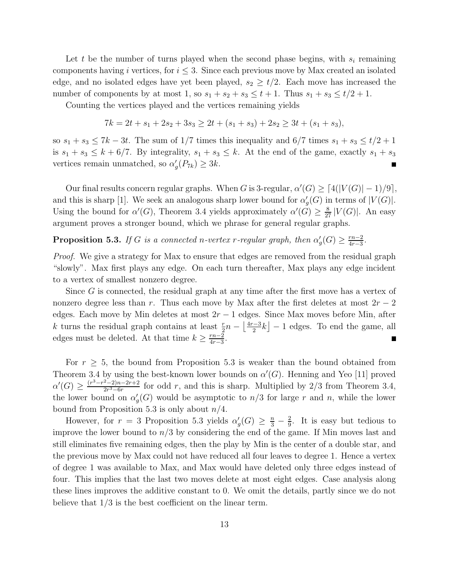Let t be the number of turns played when the second phase begins, with  $s_i$  remaining components having i vertices, for  $i \leq 3$ . Since each previous move by Max created an isolated edge, and no isolated edges have yet been played,  $s_2 \geq t/2$ . Each move has increased the number of components by at most 1, so  $s_1 + s_2 + s_3 \le t + 1$ . Thus  $s_1 + s_3 \le t/2 + 1$ .

Counting the vertices played and the vertices remaining yields

$$
7k = 2t + s_1 + 2s_2 + 3s_3 \ge 2t + (s_1 + s_3) + 2s_2 \ge 3t + (s_1 + s_3),
$$

so  $s_1 + s_3 \leq 7k - 3t$ . The sum of 1/7 times this inequality and 6/7 times  $s_1 + s_3 \leq t/2 + 1$ is  $s_1 + s_3 \leq k + 6/7$ . By integrality,  $s_1 + s_3 \leq k$ . At the end of the game, exactly  $s_1 + s_3$ vertices remain unmatched, so  $\alpha'$  $'_{g}(P_{7k}) \geq 3k.$ π

Our final results concern regular graphs. When G is 3-regular,  $\alpha'(G) \geq \lceil 4(|V(G)| - 1)/9 \rceil$ , and this is sharp [1]. We seek an analogous sharp lower bound for  $\alpha'$  $G<sub>g</sub>(G)$  in terms of  $|V(G)|$ . Using the bound for  $\alpha'(G)$ , Theorem 3.4 yields approximately  $\alpha'(G) \geq \frac{8}{27} |V(G)|$ . An easy argument proves a stronger bound, which we phrase for general regular graphs.

**Proposition 5.3.** *If* G *is a connected n-vertex r-regular graph, then*  $\alpha'$  $G'_{g}(G) \geq \frac{rn-2}{4r-3}$  $\frac{rn-2}{4r-3}$ .

*Proof.* We give a strategy for Max to ensure that edges are removed from the residual graph "slowly". Max first plays any edge. On each turn thereafter, Max plays any edge incident to a vertex of smallest nonzero degree.

Since G is connected, the residual graph at any time after the first move has a vertex of nonzero degree less than r. Thus each move by Max after the first deletes at most  $2r - 2$ edges. Each move by Min deletes at most  $2r - 1$  edges. Since Max moves before Min, after k turns the residual graph contains at least  $\frac{r}{2}n - \left\lfloor \frac{4r-3}{2} \right\rfloor$  $\left[\frac{a-3}{2}k\right] - 1$  edges. To end the game, all edges must be deleted. At that time  $k \geq \frac{rn-2}{4r-3}$  $\frac{rn-2}{4r-3}.$ 

For  $r \geq 5$ , the bound from Proposition 5.3 is weaker than the bound obtained from Theorem 3.4 by using the best-known lower bounds on  $\alpha'(G)$ . Henning and Yeo [11] proved  $\alpha'(G) \geq \frac{(r^3-r^2-2)n-2r+2}{2r^3-6r}$  $\frac{2-2n-2r+2}{2r^3-6r}$  for odd r, and this is sharp. Multiplied by 2/3 from Theorem 3.4, the lower bound on  $\alpha'$  $g'_{g}(G)$  would be asymptotic to  $n/3$  for large r and n, while the lower bound from Proposition 5.3 is only about  $n/4$ .

However, for  $r = 3$  Proposition 5.3 yields  $\alpha'$  $\frac{1}{g}(G) \geq \frac{n}{3} - \frac{2}{9}$  $\frac{2}{9}$ . It is easy but tedious to improve the lower bound to  $n/3$  by considering the end of the game. If Min moves last and still eliminates five remaining edges, then the play by Min is the center of a double star, and the previous move by Max could not have reduced all four leaves to degree 1. Hence a vertex of degree 1 was available to Max, and Max would have deleted only three edges instead of four. This implies that the last two moves delete at most eight edges. Case analysis along these lines improves the additive constant to 0. We omit the details, partly since we do not believe that 1/3 is the best coefficient on the linear term.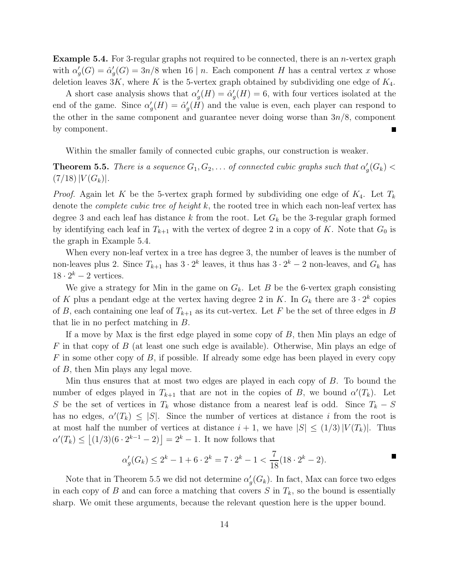**Example 5.4.** For 3-regular graphs not required to be connected, there is an *n*-vertex graph with  $\alpha'$  $G'_g(G) = \hat{\alpha}'_g$  $g'_{g}(G) = 3n/8$  when 16 | n. Each component H has a central vertex x whose deletion leaves  $3K$ , where K is the 5-vertex graph obtained by subdividing one edge of  $K_4$ .

A short case analysis shows that  $\alpha'$  $g'_g(H) = \hat{\alpha}_g'$  $g'(H) = 6$ , with four vertices isolated at the end of the game. Since  $\alpha'$  $g'_g(H) = \hat{\alpha}_g'$  $g'(H)$  and the value is even, each player can respond to the other in the same component and guarantee never doing worse than  $3n/8$ , component by component.

Within the smaller family of connected cubic graphs, our construction is weaker.

**Theorem 5.5.** *There is a sequence*  $G_1, G_2, \ldots$  *of connected cubic graphs such that*  $\alpha'$  $_g'(G_k) <$  $(7/18)|V(G_k)|.$ 

*Proof.* Again let K be the 5-vertex graph formed by subdividing one edge of  $K_4$ . Let  $T_k$ denote the *complete cubic tree of height* k, the rooted tree in which each non-leaf vertex has degree 3 and each leaf has distance k from the root. Let  $G_k$  be the 3-regular graph formed by identifying each leaf in  $T_{k+1}$  with the vertex of degree 2 in a copy of K. Note that  $G_0$  is the graph in Example 5.4.

When every non-leaf vertex in a tree has degree 3, the number of leaves is the number of non-leaves plus 2. Since  $T_{k+1}$  has  $3 \cdot 2^k$  leaves, it thus has  $3 \cdot 2^k - 2$  non-leaves, and  $G_k$  has  $18 \cdot 2^k - 2$  vertices.

We give a strategy for Min in the game on  $G_k$ . Let B be the 6-vertex graph consisting of K plus a pendant edge at the vertex having degree 2 in K. In  $G_k$  there are  $3 \cdot 2^k$  copies of B, each containing one leaf of  $T_{k+1}$  as its cut-vertex. Let F be the set of three edges in B that lie in no perfect matching in B.

If a move by Max is the first edge played in some copy of B, then Min plays an edge of  $F$  in that copy of  $B$  (at least one such edge is available). Otherwise, Min plays an edge of  $F$  in some other copy of  $B$ , if possible. If already some edge has been played in every copy of B, then Min plays any legal move.

Min thus ensures that at most two edges are played in each copy of B. To bound the number of edges played in  $T_{k+1}$  that are not in the copies of B, we bound  $\alpha'(T_k)$ . Let S be the set of vertices in  $T_k$  whose distance from a nearest leaf is odd. Since  $T_k - S$ has no edges,  $\alpha'(T_k) \leq |S|$ . Since the number of vertices at distance i from the root is at most half the number of vertices at distance  $i + 1$ , we have  $|S| \leq (1/3)|V(T_k)|$ . Thus  $\alpha'(T_k) \le |(1/3)(6 \cdot 2^{k-1} - 2)| = 2^k - 1$ . It now follows that

$$
\alpha_g'(G_k) \le 2^k - 1 + 6 \cdot 2^k = 7 \cdot 2^k - 1 < \frac{7}{18}(18 \cdot 2^k - 2).
$$

Note that in Theorem 5.5 we did not determine  $\alpha'$  $\mathcal{G}_g(G_k)$ . In fact, Max can force two edges in each copy of B and can force a matching that covers  $S$  in  $T_k$ , so the bound is essentially sharp. We omit these arguments, because the relevant question here is the upper bound.